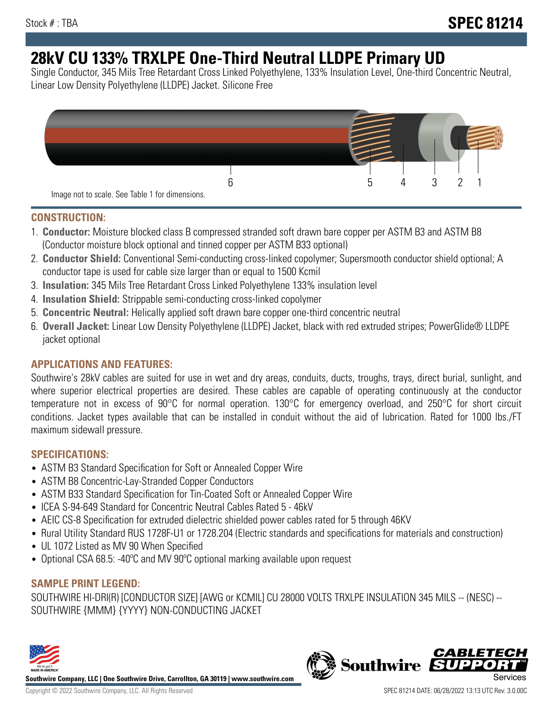# **28kV CU 133% TRXLPE One-Third Neutral LLDPE Primary UD**

Single Conductor, 345 Mils Tree Retardant Cross Linked Polyethylene, 133% Insulation Level, One-third Concentric Neutral, Linear Low Density Polyethylene (LLDPE) Jacket. Silicone Free



### **CONSTRUCTION:**

- 1. **Conductor:** Moisture blocked class B compressed stranded soft drawn bare copper per ASTM B3 and ASTM B8 (Conductor moisture block optional and tinned copper per ASTM B33 optional)
- 2. **Conductor Shield:** Conventional Semi-conducting cross-linked copolymer; Supersmooth conductor shield optional; A conductor tape is used for cable size larger than or equal to 1500 Kcmil
- 3. **Insulation:** 345 Mils Tree Retardant Cross Linked Polyethylene 133% insulation level
- 4. **Insulation Shield:** Strippable semi-conducting cross-linked copolymer
- 5. **Concentric Neutral:** Helically applied soft drawn bare copper one-third concentric neutral
- 6. **Overall Jacket:** Linear Low Density Polyethylene (LLDPE) Jacket, black with red extruded stripes; PowerGlide® LLDPE jacket optional

## **APPLICATIONS AND FEATURES:**

Southwire's 28kV cables are suited for use in wet and dry areas, conduits, ducts, troughs, trays, direct burial, sunlight, and where superior electrical properties are desired. These cables are capable of operating continuously at the conductor temperature not in excess of 90°C for normal operation. 130°C for emergency overload, and 250°C for short circuit conditions. Jacket types available that can be installed in conduit without the aid of lubrication. Rated for 1000 lbs./FT maximum sidewall pressure.

## **SPECIFICATIONS:**

- ASTM B3 Standard Specification for Soft or Annealed Copper Wire
- ASTM B8 Concentric-Lay-Stranded Copper Conductors
- ASTM B33 Standard Specification for Tin-Coated Soft or Annealed Copper Wire
- ICEA S-94-649 Standard for Concentric Neutral Cables Rated 5 46kV
- AEIC CS-8 Specification for extruded dielectric shielded power cables rated for 5 through 46KV
- Rural Utility Standard RUS 1728F-U1 or 1728.204 (Electric standards and specifications for materials and construction)
- UL 1072 Listed as MV 90 When Specified
- Optional CSA 68.5: -40ºC and MV 90ºC optional marking available upon request

# **SAMPLE PRINT LEGEND:**

SOUTHWIRE HI-DRI(R) [CONDUCTOR SIZE] [AWG or KCMIL] CU 28000 VOLTS TRXLPE INSULATION 345 MILS -- (NESC) -- SOUTHWIRE {MMM} {YYYY} NON-CONDUCTING JACKET



**Southwire Company, LLC | One Southwire Drive, Carrollton, GA 30119 | www.southwire.com**